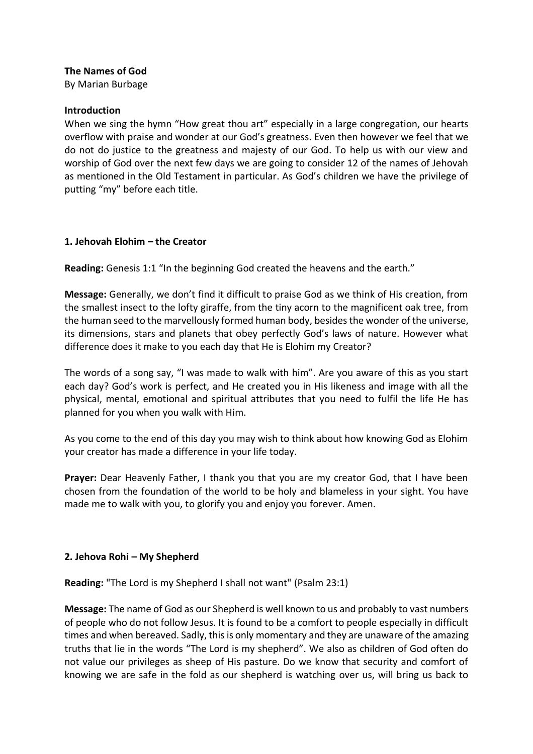### **The Names of God**

By Marian Burbage

#### **Introduction**

When we sing the hymn "How great thou art" especially in a large congregation, our hearts overflow with praise and wonder at our God's greatness. Even then however we feel that we do not do justice to the greatness and majesty of our God. To help us with our view and worship of God over the next few days we are going to consider 12 of the names of Jehovah as mentioned in the Old Testament in particular. As God's children we have the privilege of putting "my" before each title.

#### **1. Jehovah Elohim – the Creator**

**Reading:** Genesis 1:1 "In the beginning God created the heavens and the earth."

**Message:** Generally, we don't find it difficult to praise God as we think of His creation, from the smallest insect to the lofty giraffe, from the tiny acorn to the magnificent oak tree, from the human seed to the marvellously formed human body, besides the wonder of the universe, its dimensions, stars and planets that obey perfectly God's laws of nature. However what difference does it make to you each day that He is Elohim my Creator?

The words of a song say, "I was made to walk with him". Are you aware of this as you start each day? God's work is perfect, and He created you in His likeness and image with all the physical, mental, emotional and spiritual attributes that you need to fulfil the life He has planned for you when you walk with Him.

As you come to the end of this day you may wish to think about how knowing God as Elohim your creator has made a difference in your life today.

**Prayer:** Dear Heavenly Father, I thank you that you are my creator God, that I have been chosen from the foundation of the world to be holy and blameless in your sight. You have made me to walk with you, to glorify you and enjoy you forever. Amen.

# **2. Jehova Rohi – My Shepherd**

**Reading:** "The Lord is my Shepherd I shall not want" (Psalm 23:1)

**Message:** The name of God as our Shepherd is well known to us and probably to vast numbers of people who do not follow Jesus. It is found to be a comfort to people especially in difficult times and when bereaved. Sadly, this is only momentary and they are unaware of the amazing truths that lie in the words "The Lord is my shepherd". We also as children of God often do not value our privileges as sheep of His pasture. Do we know that security and comfort of knowing we are safe in the fold as our shepherd is watching over us, will bring us back to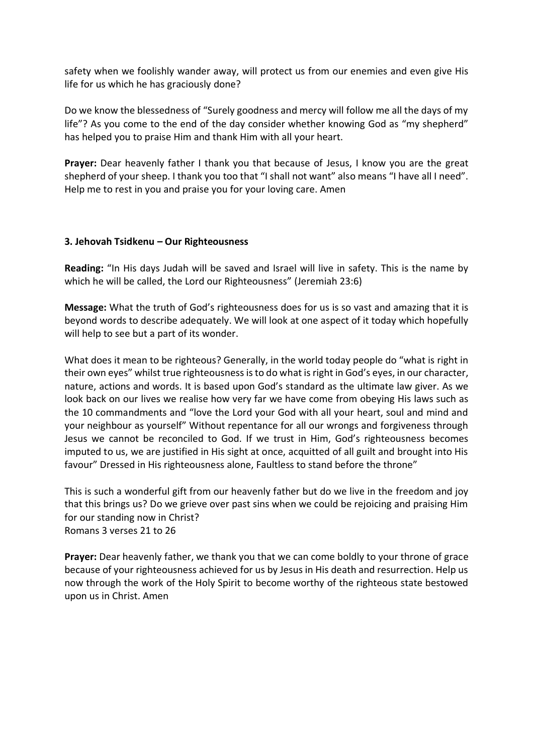safety when we foolishly wander away, will protect us from our enemies and even give His life for us which he has graciously done?

Do we know the blessedness of "Surely goodness and mercy will follow me all the days of my life"? As you come to the end of the day consider whether knowing God as "my shepherd" has helped you to praise Him and thank Him with all your heart.

**Prayer:** Dear heavenly father I thank you that because of Jesus, I know you are the great shepherd of your sheep. I thank you too that "I shall not want" also means "I have all I need". Help me to rest in you and praise you for your loving care. Amen

### **3. Jehovah Tsidkenu – Our Righteousness**

**Reading:** "In His days Judah will be saved and Israel will live in safety. This is the name by which he will be called, the Lord our Righteousness" (Jeremiah 23:6)

**Message:** What the truth of God's righteousness does for us is so vast and amazing that it is beyond words to describe adequately. We will look at one aspect of it today which hopefully will help to see but a part of its wonder.

What does it mean to be righteous? Generally, in the world today people do "what is right in their own eyes" whilst true righteousness is to do what is right in God's eyes, in our character, nature, actions and words. It is based upon God's standard as the ultimate law giver. As we look back on our lives we realise how very far we have come from obeying His laws such as the 10 commandments and "love the Lord your God with all your heart, soul and mind and your neighbour as yourself" Without repentance for all our wrongs and forgiveness through Jesus we cannot be reconciled to God. If we trust in Him, God's righteousness becomes imputed to us, we are justified in His sight at once, acquitted of all guilt and brought into His favour" Dressed in His righteousness alone, Faultless to stand before the throne"

This is such a wonderful gift from our heavenly father but do we live in the freedom and joy that this brings us? Do we grieve over past sins when we could be rejoicing and praising Him for our standing now in Christ? Romans 3 verses 21 to 26

**Prayer:** Dear heavenly father, we thank you that we can come boldly to your throne of grace because of your righteousness achieved for us by Jesus in His death and resurrection. Help us now through the work of the Holy Spirit to become worthy of the righteous state bestowed upon us in Christ. Amen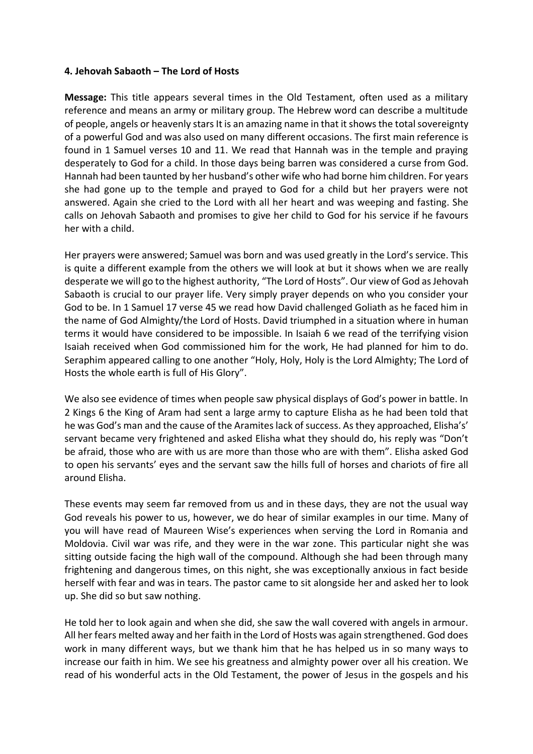#### **4. Jehovah Sabaoth – The Lord of Hosts**

**Message:** This title appears several times in the Old Testament, often used as a military reference and means an army or military group. The Hebrew word can describe a multitude of people, angels or heavenly stars It is an amazing name in that it shows the total sovereignty of a powerful God and was also used on many different occasions. The first main reference is found in 1 Samuel verses 10 and 11. We read that Hannah was in the temple and praying desperately to God for a child. In those days being barren was considered a curse from God. Hannah had been taunted by her husband's other wife who had borne him children. For years she had gone up to the temple and prayed to God for a child but her prayers were not answered. Again she cried to the Lord with all her heart and was weeping and fasting. She calls on Jehovah Sabaoth and promises to give her child to God for his service if he favours her with a child.

Her prayers were answered; Samuel was born and was used greatly in the Lord's service. This is quite a different example from the others we will look at but it shows when we are really desperate we will go to the highest authority, "The Lord of Hosts". Our view of God as Jehovah Sabaoth is crucial to our prayer life. Very simply prayer depends on who you consider your God to be. In 1 Samuel 17 verse 45 we read how David challenged Goliath as he faced him in the name of God Almighty/the Lord of Hosts. David triumphed in a situation where in human terms it would have considered to be impossible. In Isaiah 6 we read of the terrifying vision Isaiah received when God commissioned him for the work, He had planned for him to do. Seraphim appeared calling to one another "Holy, Holy, Holy is the Lord Almighty; The Lord of Hosts the whole earth is full of His Glory".

We also see evidence of times when people saw physical displays of God's power in battle. In 2 Kings 6 the King of Aram had sent a large army to capture Elisha as he had been told that he was God's man and the cause of the Aramites lack of success. As they approached, Elisha's' servant became very frightened and asked Elisha what they should do, his reply was "Don't be afraid, those who are with us are more than those who are with them". Elisha asked God to open his servants' eyes and the servant saw the hills full of horses and chariots of fire all around Elisha.

These events may seem far removed from us and in these days, they are not the usual way God reveals his power to us, however, we do hear of similar examples in our time. Many of you will have read of Maureen Wise's experiences when serving the Lord in Romania and Moldovia. Civil war was rife, and they were in the war zone. This particular night she was sitting outside facing the high wall of the compound. Although she had been through many frightening and dangerous times, on this night, she was exceptionally anxious in fact beside herself with fear and was in tears. The pastor came to sit alongside her and asked her to look up. She did so but saw nothing.

He told her to look again and when she did, she saw the wall covered with angels in armour. All her fears melted away and her faith in the Lord of Hosts was again strengthened. God does work in many different ways, but we thank him that he has helped us in so many ways to increase our faith in him. We see his greatness and almighty power over all his creation. We read of his wonderful acts in the Old Testament, the power of Jesus in the gospels and his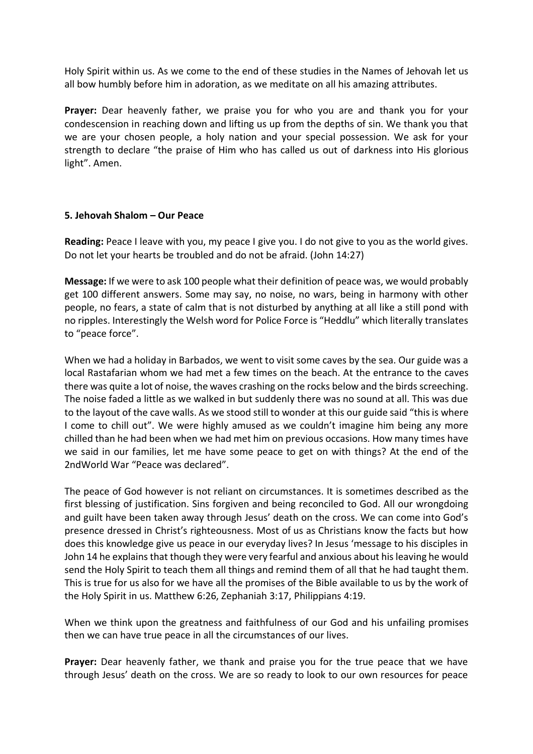Holy Spirit within us. As we come to the end of these studies in the Names of Jehovah let us all bow humbly before him in adoration, as we meditate on all his amazing attributes.

**Prayer:** Dear heavenly father, we praise you for who you are and thank you for your condescension in reaching down and lifting us up from the depths of sin. We thank you that we are your chosen people, a holy nation and your special possession. We ask for your strength to declare "the praise of Him who has called us out of darkness into His glorious light". Amen.

#### **5. Jehovah Shalom – Our Peace**

**Reading:** Peace I leave with you, my peace I give you. I do not give to you as the world gives. Do not let your hearts be troubled and do not be afraid. (John 14:27)

**Message:** If we were to ask 100 people what their definition of peace was, we would probably get 100 different answers. Some may say, no noise, no wars, being in harmony with other people, no fears, a state of calm that is not disturbed by anything at all like a still pond with no ripples. Interestingly the Welsh word for Police Force is "Heddlu" which literally translates to "peace force".

When we had a holiday in Barbados, we went to visit some caves by the sea. Our guide was a local Rastafarian whom we had met a few times on the beach. At the entrance to the caves there was quite a lot of noise, the waves crashing on the rocks below and the birds screeching. The noise faded a little as we walked in but suddenly there was no sound at all. This was due to the layout of the cave walls. As we stood still to wonder at this our guide said "this is where I come to chill out". We were highly amused as we couldn't imagine him being any more chilled than he had been when we had met him on previous occasions. How many times have we said in our families, let me have some peace to get on with things? At the end of the 2ndWorld War "Peace was declared".

The peace of God however is not reliant on circumstances. It is sometimes described as the first blessing of justification. Sins forgiven and being reconciled to God. All our wrongdoing and guilt have been taken away through Jesus' death on the cross. We can come into God's presence dressed in Christ's righteousness. Most of us as Christians know the facts but how does this knowledge give us peace in our everyday lives? In Jesus 'message to his disciples in John 14 he explains that though they were very fearful and anxious about his leaving he would send the Holy Spirit to teach them all things and remind them of all that he had taught them. This is true for us also for we have all the promises of the Bible available to us by the work of the Holy Spirit in us. Matthew 6:26, Zephaniah 3:17, Philippians 4:19.

When we think upon the greatness and faithfulness of our God and his unfailing promises then we can have true peace in all the circumstances of our lives.

**Prayer:** Dear heavenly father, we thank and praise you for the true peace that we have through Jesus' death on the cross. We are so ready to look to our own resources for peace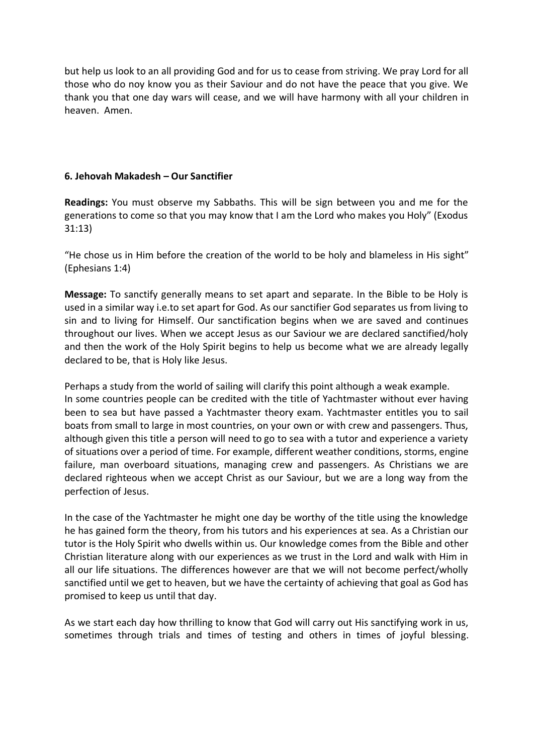but help us look to an all providing God and for us to cease from striving. We pray Lord for all those who do noy know you as their Saviour and do not have the peace that you give. We thank you that one day wars will cease, and we will have harmony with all your children in heaven. Amen.

### **6. Jehovah Makadesh – Our Sanctifier**

**Readings:** You must observe my Sabbaths. This will be sign between you and me for the generations to come so that you may know that I am the Lord who makes you Holy" (Exodus 31:13)

"He chose us in Him before the creation of the world to be holy and blameless in His sight" (Ephesians 1:4)

**Message:** To sanctify generally means to set apart and separate. In the Bible to be Holy is used in a similar way i.e.to set apart for God. As our sanctifier God separates us from living to sin and to living for Himself. Our sanctification begins when we are saved and continues throughout our lives. When we accept Jesus as our Saviour we are declared sanctified/holy and then the work of the Holy Spirit begins to help us become what we are already legally declared to be, that is Holy like Jesus.

Perhaps a study from the world of sailing will clarify this point although a weak example. In some countries people can be credited with the title of Yachtmaster without ever having been to sea but have passed a Yachtmaster theory exam. Yachtmaster entitles you to sail boats from small to large in most countries, on your own or with crew and passengers. Thus, although given this title a person will need to go to sea with a tutor and experience a variety of situations over a period of time. For example, different weather conditions, storms, engine failure, man overboard situations, managing crew and passengers. As Christians we are declared righteous when we accept Christ as our Saviour, but we are a long way from the perfection of Jesus.

In the case of the Yachtmaster he might one day be worthy of the title using the knowledge he has gained form the theory, from his tutors and his experiences at sea. As a Christian our tutor is the Holy Spirit who dwells within us. Our knowledge comes from the Bible and other Christian literature along with our experiences as we trust in the Lord and walk with Him in all our life situations. The differences however are that we will not become perfect/wholly sanctified until we get to heaven, but we have the certainty of achieving that goal as God has promised to keep us until that day.

As we start each day how thrilling to know that God will carry out His sanctifying work in us, sometimes through trials and times of testing and others in times of joyful blessing.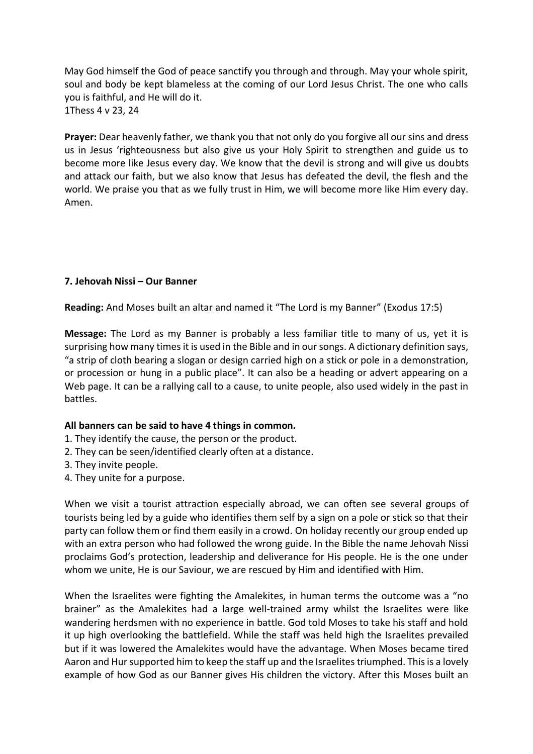May God himself the God of peace sanctify you through and through. May your whole spirit, soul and body be kept blameless at the coming of our Lord Jesus Christ. The one who calls you is faithful, and He will do it. 1Thess 4 v 23, 24

**Prayer:** Dear heavenly father, we thank you that not only do you forgive all our sins and dress us in Jesus 'righteousness but also give us your Holy Spirit to strengthen and guide us to become more like Jesus every day. We know that the devil is strong and will give us doubts and attack our faith, but we also know that Jesus has defeated the devil, the flesh and the world. We praise you that as we fully trust in Him, we will become more like Him every day. Amen.

#### **7. Jehovah Nissi – Our Banner**

**Reading:** And Moses built an altar and named it "The Lord is my Banner" (Exodus 17:5)

**Message:** The Lord as my Banner is probably a less familiar title to many of us, yet it is surprising how many times it is used in the Bible and in our songs. A dictionary definition says, "a strip of cloth bearing a slogan or design carried high on a stick or pole in a demonstration, or procession or hung in a public place". It can also be a heading or advert appearing on a Web page. It can be a rallying call to a cause, to unite people, also used widely in the past in battles.

#### **All banners can be said to have 4 things in common.**

- 1. They identify the cause, the person or the product.
- 2. They can be seen/identified clearly often at a distance.
- 3. They invite people.
- 4. They unite for a purpose.

When we visit a tourist attraction especially abroad, we can often see several groups of tourists being led by a guide who identifies them self by a sign on a pole or stick so that their party can follow them or find them easily in a crowd. On holiday recently our group ended up with an extra person who had followed the wrong guide. In the Bible the name Jehovah Nissi proclaims God's protection, leadership and deliverance for His people. He is the one under whom we unite, He is our Saviour, we are rescued by Him and identified with Him.

When the Israelites were fighting the Amalekites, in human terms the outcome was a "no brainer" as the Amalekites had a large well-trained army whilst the Israelites were like wandering herdsmen with no experience in battle. God told Moses to take his staff and hold it up high overlooking the battlefield. While the staff was held high the Israelites prevailed but if it was lowered the Amalekites would have the advantage. When Moses became tired Aaron and Hur supported him to keep the staff up and the Israelites triumphed. This is a lovely example of how God as our Banner gives His children the victory. After this Moses built an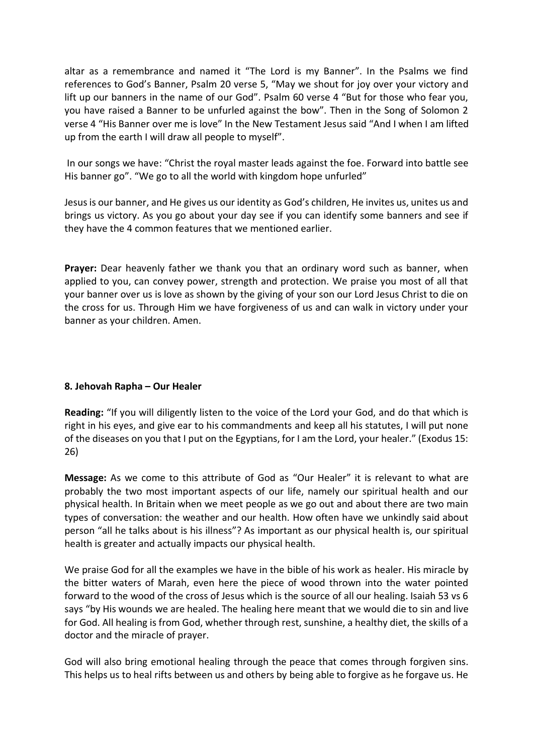altar as a remembrance and named it "The Lord is my Banner". In the Psalms we find references to God's Banner, Psalm 20 verse 5, "May we shout for joy over your victory and lift up our banners in the name of our God". Psalm 60 verse 4 "But for those who fear you, you have raised a Banner to be unfurled against the bow". Then in the Song of Solomon 2 verse 4 "His Banner over me is love" In the New Testament Jesus said "And I when I am lifted up from the earth I will draw all people to myself".

In our songs we have: "Christ the royal master leads against the foe. Forward into battle see His banner go". "We go to all the world with kingdom hope unfurled"

Jesus is our banner, and He gives us our identity as God's children, He invites us, unites us and brings us victory. As you go about your day see if you can identify some banners and see if they have the 4 common features that we mentioned earlier.

**Prayer:** Dear heavenly father we thank you that an ordinary word such as banner, when applied to you, can convey power, strength and protection. We praise you most of all that your banner over us is love as shown by the giving of your son our Lord Jesus Christ to die on the cross for us. Through Him we have forgiveness of us and can walk in victory under your banner as your children. Amen.

# **8. Jehovah Rapha – Our Healer**

**Reading:** "If you will diligently listen to the voice of the Lord your God, and do that which is right in his eyes, and give ear to his commandments and keep all his statutes, I will put none of the diseases on you that I put on the Egyptians, for I am the Lord, your healer." (Exodus 15: 26)

**Message:** As we come to this attribute of God as "Our Healer" it is relevant to what are probably the two most important aspects of our life, namely our spiritual health and our physical health. In Britain when we meet people as we go out and about there are two main types of conversation: the weather and our health. How often have we unkindly said about person "all he talks about is his illness"? As important as our physical health is, our spiritual health is greater and actually impacts our physical health.

We praise God for all the examples we have in the bible of his work as healer. His miracle by the bitter waters of Marah, even here the piece of wood thrown into the water pointed forward to the wood of the cross of Jesus which is the source of all our healing. Isaiah 53 vs 6 says "by His wounds we are healed. The healing here meant that we would die to sin and live for God. All healing is from God, whether through rest, sunshine, a healthy diet, the skills of a doctor and the miracle of prayer.

God will also bring emotional healing through the peace that comes through forgiven sins. This helps us to heal rifts between us and others by being able to forgive as he forgave us. He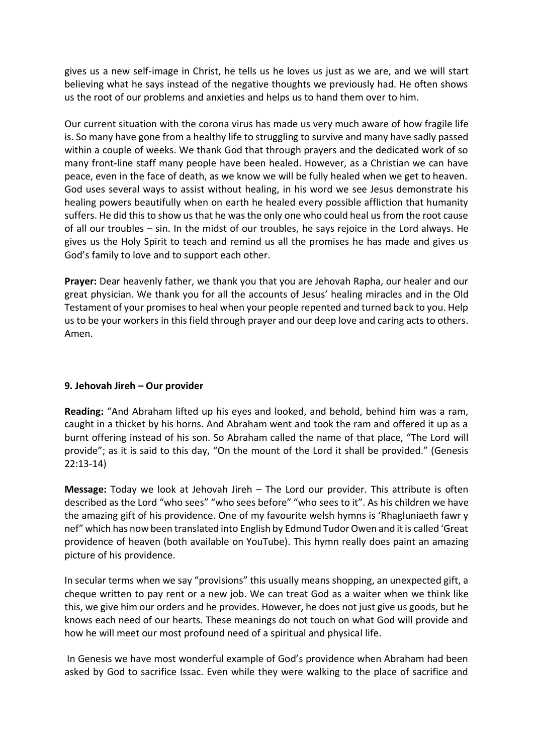gives us a new self-image in Christ, he tells us he loves us just as we are, and we will start believing what he says instead of the negative thoughts we previously had. He often shows us the root of our problems and anxieties and helps us to hand them over to him.

Our current situation with the corona virus has made us very much aware of how fragile life is. So many have gone from a healthy life to struggling to survive and many have sadly passed within a couple of weeks. We thank God that through prayers and the dedicated work of so many front-line staff many people have been healed. However, as a Christian we can have peace, even in the face of death, as we know we will be fully healed when we get to heaven. God uses several ways to assist without healing, in his word we see Jesus demonstrate his healing powers beautifully when on earth he healed every possible affliction that humanity suffers. He did this to show us that he was the only one who could heal us from the root cause of all our troubles – sin. In the midst of our troubles, he says rejoice in the Lord always. He gives us the Holy Spirit to teach and remind us all the promises he has made and gives us God's family to love and to support each other.

**Prayer:** Dear heavenly father, we thank you that you are Jehovah Rapha, our healer and our great physician. We thank you for all the accounts of Jesus' healing miracles and in the Old Testament of your promises to heal when your people repented and turned back to you. Help us to be your workers in this field through prayer and our deep love and caring acts to others. Amen.

# **9. Jehovah Jireh – Our provider**

**Reading:** "And Abraham lifted up his eyes and looked, and behold, behind him was a ram, caught in a thicket by his horns. And Abraham went and took the ram and offered it up as a burnt offering instead of his son. So Abraham called the name of that place, "The Lord will provide"; as it is said to this day, "On the mount of the Lord it shall be provided." (Genesis 22:13-14)

**Message:** Today we look at Jehovah Jireh – The Lord our provider. This attribute is often described as the Lord "who sees" "who sees before" "who sees to it". As his children we have the amazing gift of his providence. One of my favourite welsh hymns is 'Rhagluniaeth fawr y nef" which has now been translated into English by Edmund Tudor Owen and it is called 'Great providence of heaven (both available on YouTube). This hymn really does paint an amazing picture of his providence.

In secular terms when we say "provisions" this usually means shopping, an unexpected gift, a cheque written to pay rent or a new job. We can treat God as a waiter when we think like this, we give him our orders and he provides. However, he does not just give us goods, but he knows each need of our hearts. These meanings do not touch on what God will provide and how he will meet our most profound need of a spiritual and physical life.

In Genesis we have most wonderful example of God's providence when Abraham had been asked by God to sacrifice Issac. Even while they were walking to the place of sacrifice and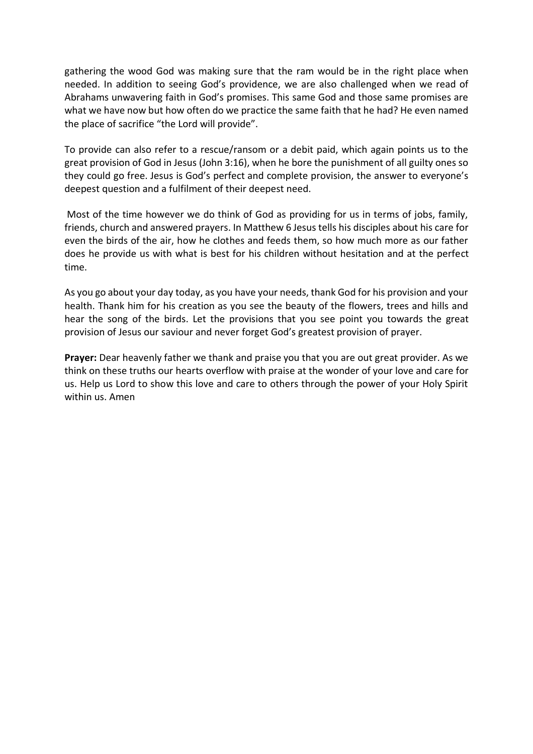gathering the wood God was making sure that the ram would be in the right place when needed. In addition to seeing God's providence, we are also challenged when we read of Abrahams unwavering faith in God's promises. This same God and those same promises are what we have now but how often do we practice the same faith that he had? He even named the place of sacrifice "the Lord will provide".

To provide can also refer to a rescue/ransom or a debit paid, which again points us to the great provision of God in Jesus (John 3:16), when he bore the punishment of all guilty ones so they could go free. Jesus is God's perfect and complete provision, the answer to everyone's deepest question and a fulfilment of their deepest need.

Most of the time however we do think of God as providing for us in terms of jobs, family, friends, church and answered prayers. In Matthew 6 Jesus tells his disciples about his care for even the birds of the air, how he clothes and feeds them, so how much more as our father does he provide us with what is best for his children without hesitation and at the perfect time.

As you go about your day today, as you have your needs, thank God for his provision and your health. Thank him for his creation as you see the beauty of the flowers, trees and hills and hear the song of the birds. Let the provisions that you see point you towards the great provision of Jesus our saviour and never forget God's greatest provision of prayer.

**Prayer:** Dear heavenly father we thank and praise you that you are out great provider. As we think on these truths our hearts overflow with praise at the wonder of your love and care for us. Help us Lord to show this love and care to others through the power of your Holy Spirit within us. Amen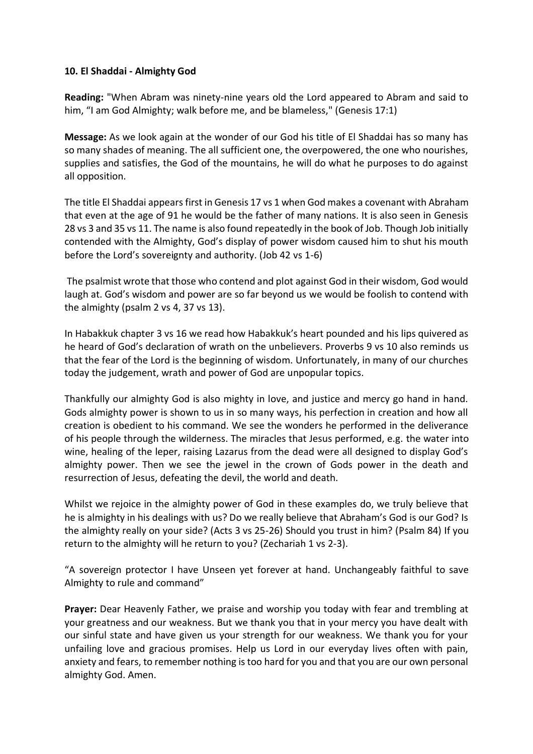### **10. El Shaddai - Almighty God**

**Reading:** "When Abram was ninety-nine years old the Lord appeared to Abram and said to him, "I am God Almighty; walk before me, and be blameless," (Genesis 17:1)

**Message:** As we look again at the wonder of our God his title of El Shaddai has so many has so many shades of meaning. The all sufficient one, the overpowered, the one who nourishes, supplies and satisfies, the God of the mountains, he will do what he purposes to do against all opposition.

The title El Shaddai appears first in Genesis 17 vs 1 when God makes a covenant with Abraham that even at the age of 91 he would be the father of many nations. It is also seen in Genesis 28 vs 3 and 35 vs 11. The name is also found repeatedly in the book of Job. Though Job initially contended with the Almighty, God's display of power wisdom caused him to shut his mouth before the Lord's sovereignty and authority. (Job 42 vs 1-6)

The psalmist wrote that those who contend and plot against God in their wisdom, God would laugh at. God's wisdom and power are so far beyond us we would be foolish to contend with the almighty (psalm 2 vs 4, 37 vs 13).

In Habakkuk chapter 3 vs 16 we read how Habakkuk's heart pounded and his lips quivered as he heard of God's declaration of wrath on the unbelievers. Proverbs 9 vs 10 also reminds us that the fear of the Lord is the beginning of wisdom. Unfortunately, in many of our churches today the judgement, wrath and power of God are unpopular topics.

Thankfully our almighty God is also mighty in love, and justice and mercy go hand in hand. Gods almighty power is shown to us in so many ways, his perfection in creation and how all creation is obedient to his command. We see the wonders he performed in the deliverance of his people through the wilderness. The miracles that Jesus performed, e.g. the water into wine, healing of the leper, raising Lazarus from the dead were all designed to display God's almighty power. Then we see the jewel in the crown of Gods power in the death and resurrection of Jesus, defeating the devil, the world and death.

Whilst we rejoice in the almighty power of God in these examples do, we truly believe that he is almighty in his dealings with us? Do we really believe that Abraham's God is our God? Is the almighty really on your side? (Acts 3 vs 25-26) Should you trust in him? (Psalm 84) If you return to the almighty will he return to you? (Zechariah 1 vs 2-3).

"A sovereign protector I have Unseen yet forever at hand. Unchangeably faithful to save Almighty to rule and command"

**Prayer:** Dear Heavenly Father, we praise and worship you today with fear and trembling at your greatness and our weakness. But we thank you that in your mercy you have dealt with our sinful state and have given us your strength for our weakness. We thank you for your unfailing love and gracious promises. Help us Lord in our everyday lives often with pain, anxiety and fears, to remember nothing is too hard for you and that you are our own personal almighty God. Amen.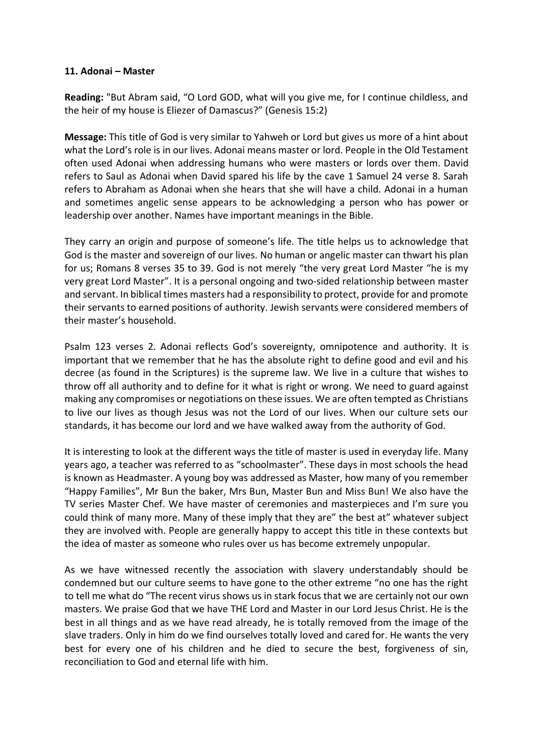### **11. Adonai – Master**

**Reading:** "But Abram said, "O Lord GOD, what will you give me, for I continue childless, and the heir of my house is Eliezer of Damascus?" (Genesis 15:2)

**Message:** This title of God is very similar to Yahweh or Lord but gives us more of a hint about what the Lord's role is in our lives. Adonai means master or lord. People in the Old Testament often used Adonai when addressing humans who were masters or lords over them. David refers to Saul as Adonai when David spared his life by the cave 1 Samuel 24 verse 8. Sarah refers to Abraham as Adonai when she hears that she will have a child. Adonai in a human and sometimes angelic sense appears to be acknowledging a person who has power or leadership over another. Names have important meanings in the Bible.

They carry an origin and purpose of someone's life. The title helps us to acknowledge that God is the master and sovereign of our lives. No human or angelic master can thwart his plan for us; Romans 8 verses 35 to 39. God is not merely "the very great Lord Master "he is my very great Lord Master". It is a personal ongoing and two-sided relationship between master and servant. In biblical times masters had a responsibility to protect, provide for and promote their servants to earned positions of authority. Jewish servants were considered members of their master's household.

Psalm 123 verses 2. Adonai reflects God's sovereignty, omnipotence and authority. It is important that we remember that he has the absolute right to define good and evil and his decree (as found in the Scriptures) is the supreme law. We live in a culture that wishes to throw off all authority and to define for it what is right or wrong. We need to guard against making any compromises or negotiations on these issues. We are often tempted as Christians to live our lives as though Jesus was not the Lord of our lives. When our culture sets our standards, it has become our lord and we have walked away from the authority of God.

It is interesting to look at the different ways the title of master is used in everyday life. Many years ago, a teacher was referred to as "schoolmaster". These days in most schools the head is known as Headmaster. A young boy was addressed as Master, how many of you remember "Happy Families", Mr Bun the baker, Mrs Bun, Master Bun and Miss Bun! We also have the TV series Master Chef. We have master of ceremonies and masterpieces and I'm sure you could think of many more. Many of these imply that they are" the best at" whatever subject they are involved with. People are generally happy to accept this title in these contexts but the idea of master as someone who rules over us has become extremely unpopular.

As we have witnessed recently the association with slavery understandably should be condemned but our culture seems to have gone to the other extreme "no one has the right to tell me what do "The recent virus shows us in stark focus that we are certainly not our own masters. We praise God that we have THE Lord and Master in our Lord Jesus Christ. He is the best in all things and as we have read already, he is totally removed from the image of the slave traders. Only in him do we find ourselves totally loved and cared for. He wants the very best for every one of his children and he died to secure the best, forgiveness of sin, reconciliation to God and eternal life with him.